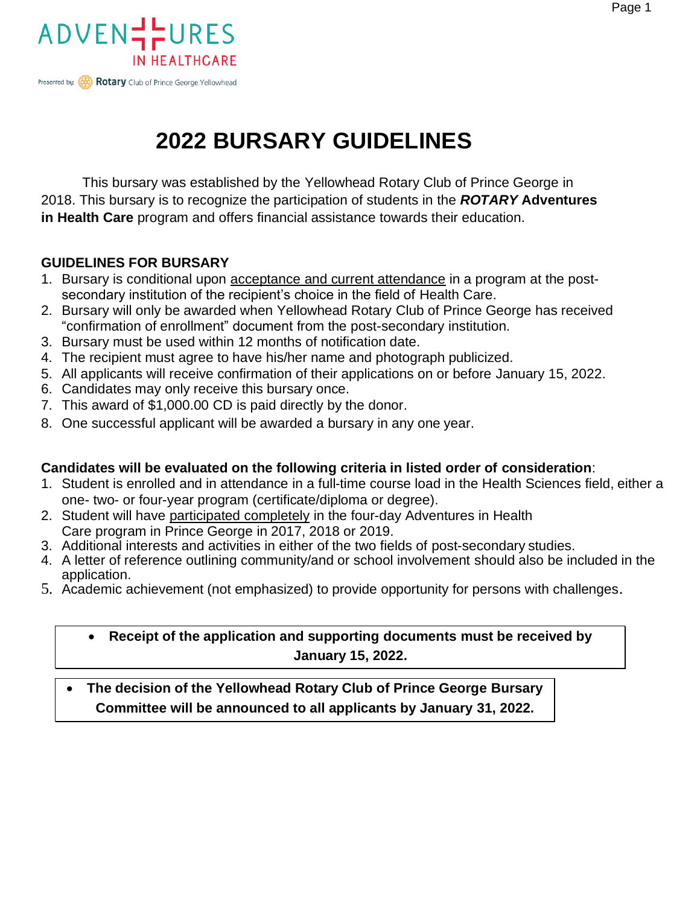



### **2022 BURSARY GUIDELINES**

This bursary was established by the Yellowhead Rotary Club of Prince George in 2018. This bursary is to recognize the participation of students in the *ROTARY* **Adventures in Health Care** program and offers financial assistance towards their education.

#### **GUIDELINES FOR BURSARY**

- 1. Bursary is conditional upon **acceptance and current attendance** in a program at the postsecondary institution of the recipient's choice in the field of Health Care.
- 2. Bursary will only be awarded when Yellowhead Rotary Club of Prince George has received "confirmation of enrollment" document from the post-secondary institution.
- 3. Bursary must be used within 12 months of notification date.
- 4. The recipient must agree to have his/her name and photograph publicized.
- 5. All applicants will receive confirmation of their applications on or before January 15, 2022.
- 6. Candidates may only receive this bursary once.
- 7. This award of \$1,000.00 CD is paid directly by the donor.
- 8. One successful applicant will be awarded a bursary in any one year.

#### **Candidates will be evaluated on the following criteria in listed order of consideration**:

- 1. Student is enrolled and in attendance in a full-time course load in the Health Sciences field, either a one- two- or four-year program (certificate/diploma or degree).
- 2. Student will have participated completely in the four-day Adventures in Health Care program in Prince George in 2017, 2018 or 2019.
- 3. Additional interests and activities in either of the two fields of post-secondary studies.
- 4. A letter of reference outlining community/and or school involvement should also be included in the application.
- 5. Academic achievement (not emphasized) to provide opportunity for persons with challenges.

#### • **Receipt of the application and supporting documents must be received by January 15, 2022.**

• **The decision of the Yellowhead Rotary Club of Prince George Bursary Committee will be announced to all applicants by January 31, 2022.**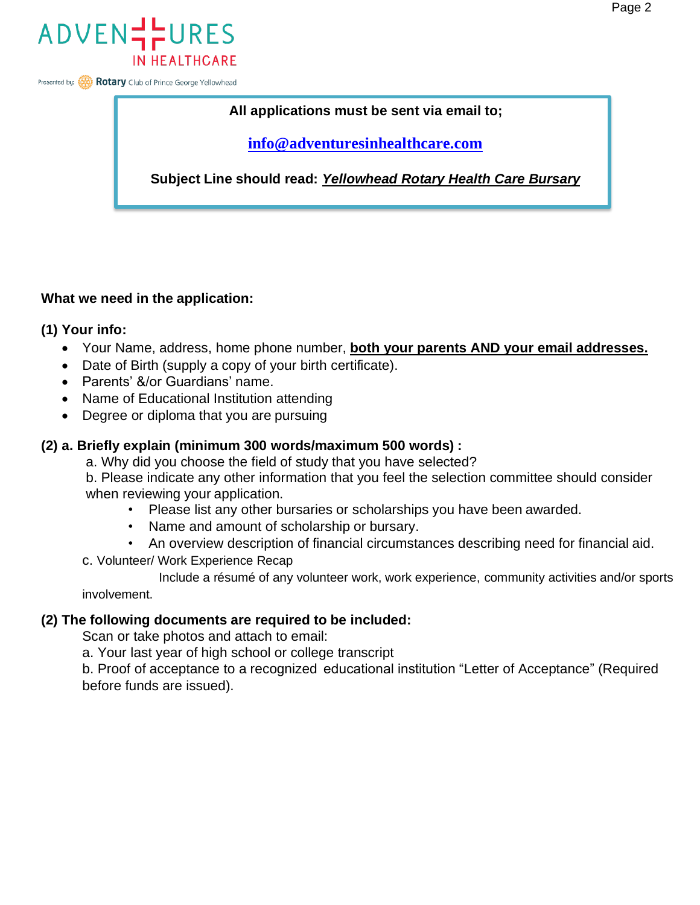

Presented by: **Rotary** Club of Prince George Yellowhead

#### **All applications must be sent via email to;**

**[info@adventuresinhealthcare.com](mailto:info@adventuresinhealthcare.com)**

**Subject Line should read:** *Yellowhead Rotary Health Care Bursary*

#### **What we need in the application:**

#### **(1) Your info:**

- Your Name, address, home phone number, **both your parents AND your email addresses.**
- Date of Birth (supply a copy of your birth certificate).
- Parents' &/or Guardians' name.
- Name of Educational Institution attending
- Degree or diploma that you are pursuing

#### **(2) a. Briefly explain (minimum 300 words/maximum 500 words) :**

a. Why did you choose the field of study that you have selected?

b. Please indicate any other information that you feel the selection committee should consider when reviewing your application.

- Please list any other bursaries or scholarships you have been awarded.
- Name and amount of scholarship or bursary.
- An overview description of financial circumstances describing need for financial aid.
- c. Volunteer/ Work Experience Recap

Include a résumé of any volunteer work, work experience, community activities and/or sports involvement.

#### **(2) The following documents are required to be included:**

Scan or take photos and attach to email:

a. Your last year of high school or college transcript

b. Proof of acceptance to a recognized educational institution "Letter of Acceptance" (Required before funds are issued).